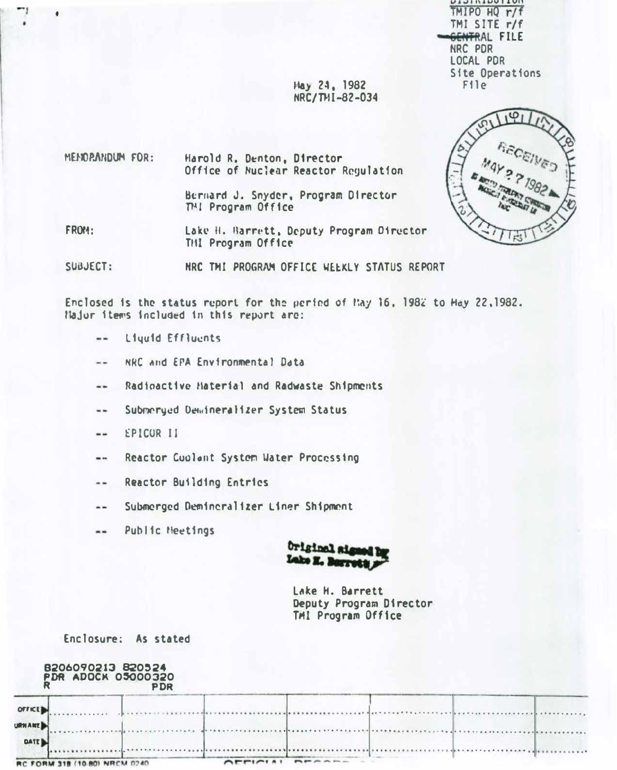**DIAININAII 4**  $TMIPO$   $HQ$   $r/f$ TMI SITE r/f GENTRAL FILE NRC PDR LOCAL PDR Site Operations  $F11e$ 

 $1<sup>1</sup>$ 

Hay 24, 1982 NRC/THI-82-034

MEMOPANDUM FOR: Harold R. Denton, Director Office of Nuclear Reactor Regulation Bernard J. Snyder, Program Director

THI Program Office

FROM: Lake H. Barrett, Deputy Program Oirector THI Program Office

SUBJECT: HRC TMI PROGRAM OFFICE WEEKLY STATUS REPORT

Enclosed is the status report for the period of May 16, 1982 to Hay 22,1982. Najor items included in this report are:

- Liquid Effluents  $\cdots$
- NRC and EPA Environmental Data  $- -$
- Radioactive Haterial and Radwaste Shipments  $-1$
- Submerged Demineralizer System Status  $\cdots$
- EPICOR II --
- Reactor Cuolont System Water Processing  $\cdots$
- Reactor Building Entries  $\sim$
- Submerged Demineralizer Liner Shipment  $\qquad \qquad -$
- Public Heetings  $\cdots$



Lake H. Barrett Deputy Program Director TMI Program Office

Enclosure: As stated

|                                | 8206090213 820524<br><b>PDR ADOCK 05000320</b> | <b>PDR</b>  |  |  |  |
|--------------------------------|------------------------------------------------|-------------|--|--|--|
| <b>OFFICE</b><br><b>URNAME</b> |                                                |             |  |  |  |
| <b>DATE</b>                    |                                                |             |  |  |  |
| <b>RC FORM 318</b>             |                                                | <b>MOZO</b> |  |  |  |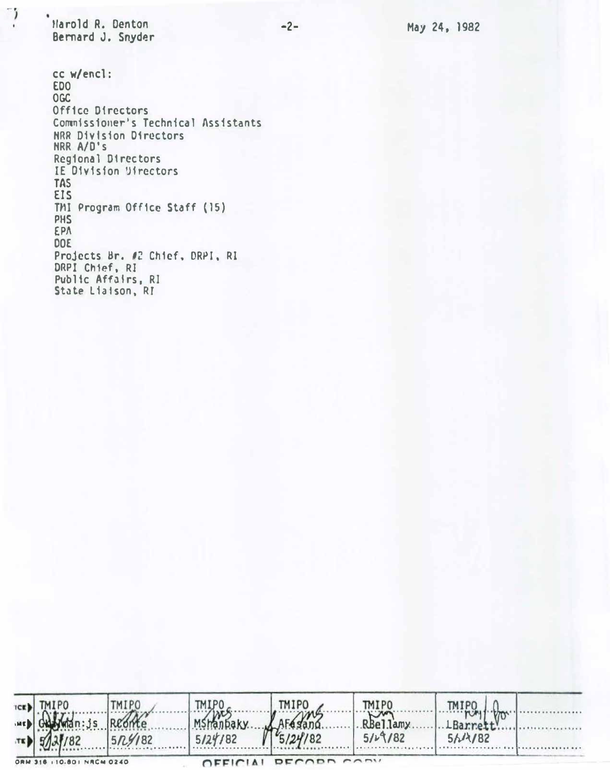Harold R. Denton Bernard J. Snyder

 $\ddot{\phantom{a}}$  )

cc w/encl: **EDO OGC** Office Directors Commissioner's Technical Assistants NRR Division Directors NRR A/D's Regional Directors IE Division Directors **TAS** EIS TMI Program Office Staff (15) PHS EPA **DOE** Projects Br. #2 Chief, DRPI, RI<br>DRPI Chief, RI Public Affairs, RI State Liaison, RI

| <b>ICE)</b> |                           | <b>MIPO</b>       |          | TM I P(     | <b>TMIPO</b> |             |            |
|-------------|---------------------------|-------------------|----------|-------------|--------------|-------------|------------|
| IME.        |                           |                   |          |             | RBellamy     |             |            |
| TEL         |                           | $5R\frac{9}{182}$ | 5/24/182 |             | 514182<br>   | 51/182<br>. | . <b>.</b> |
|             | ORM 316 (10.80) NRCM 0240 |                   |          | DECADA CADY |              |             |            |

 $-2-$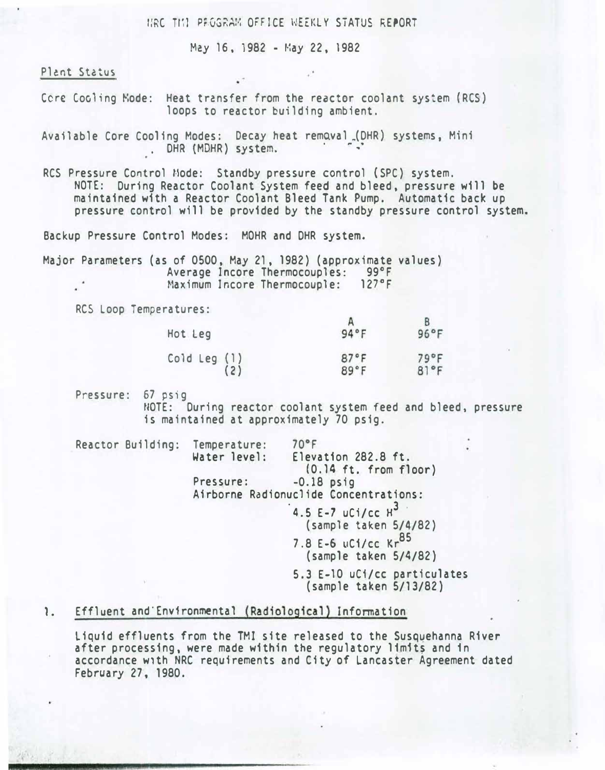HAC THI PEGGRAM OFFICE WEEKLY STATUS REPORT.

May 16, 1982 - May 22, 1982

Plant Status

- Cere Cooling Kode: Heat transfer from the reactor coolant system (RCS) loops to reactor building ambient.
- Available Core Cooling Modes: Decay heat remQval\_(DHR) systems, Mini . DHR (MDHR) system.
- RCS Pressure Control Mode: Standby pressure control (SPC) system. · NOTE: During Reactor Coolant System feed and bleed, pressure will be maintained with a Reactor Coolant Bleed Tank Pump. Automatic back up pressure control will be provided by the standby pressure control system.

Backup Pressure Control Modes: MOHR and DHR system.

Major Parameters (as of 0500, May 21, 1982) (approximate values) Average Incore Thermocouples: 99°F<br>Maximum Incore Thermocouple: 127°F Maximum Incore Thermocouple:

RCS Loop Temperatures:

| Hot Leg      | 94°F | $96^{\circ}$ F |
|--------------|------|----------------|
| Cold Leg (1) | 87°F | 79°F           |
| (2)          | 89°F | 81°F           |

Pressure: 67 psig

NOTE: During reactor coolant system feed and bleed, pressure is maintained at approximately 70 psig.

| Reactor Building: Temperature: | Water level: | $70^{\circ}$ F<br>Elevation 282.8 ft.                  |  |
|--------------------------------|--------------|--------------------------------------------------------|--|
|                                |              | $(0.14$ ft. from floor)                                |  |
|                                | Pressure:    | $-0.18$ psig                                           |  |
|                                |              | Airborne Radionuclide Concentrations:                  |  |
|                                |              | 4.5 E-7 uCi/cc $H^3$                                   |  |
|                                |              | (sample taken 5/4/82)                                  |  |
|                                |              | 7.8 E-6 uC1/cc Kr85                                    |  |
|                                |              | (sample taken 5/4/82)                                  |  |
|                                |              | 5.3 E-10 uCi/cc particulates<br>(sample taken 5/13/82) |  |

1. Effluent and'Env1ronmenta1 (Radiological) Information

Liquid effluents from the TMI site released to the Susquehanna River after processing, were made within the regulatory limits and in accordance w1th NRC requirements and City of Lancaster Agreement dated February 27, 1980.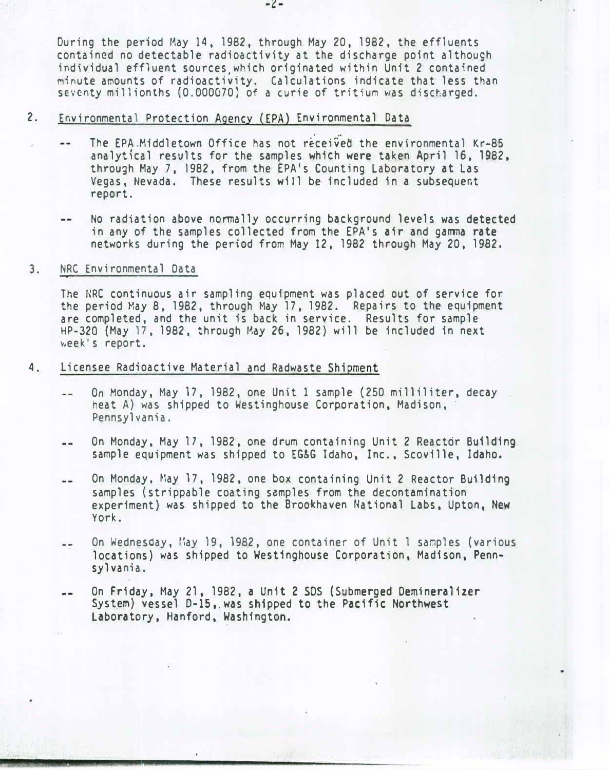During the period May 14, 1982, through May 20, 1982, the effluents contained no detectable radioactivity at the discharge point although individual effluent sources.which originated within Unit 2 contained minute amounts of radioactivity. Calculations indicate that less than seventy millionths (0.000070) of a curie of tritium was discharged.

### 2. Environmental Protection Agency (EPA) Environmental Data

- The EPA.Middletown Office has not received the environmental Kr-85 analytical results for the samples which were taken April 16, 1982, through May 7, 1982, from the EPA's Counting Laboratory at Las Vegas, Nevada. These results will be included in a subsequent report.
- No radiation above normally occurring background levels was detected  $-$ in any of the samples collected from the EPA's air and gamma rate networks during the period from May 12, 1982 through May 20, 1982.

#### 3. NRC Environmental Data

The NRC continuous air sampling equipment was placed out of service for the period May 8, 1982, through May 17, 1982. Repairs to the equipment are completed, and the unit is back in service. Results for sample HP-320 (May 17, 1982, through May 26, 1982) will be included in next week's report.

- 4. Licensee Radioactive Material and Radwaste Shipment
	- On Monday, May 17, 1982, one Unit 1 sample (250 milliliter, decay  $-1$ heat A) was shipped to Westinghouse Corporation, Madison, Pennsylvania.
	- On Monday, May 17, 1982, one drum containing Unit 2 Reactor Building  $-1$ sample equipment was shipped to EG&G Idaho, Inc., Scoville, Idaho.
	- On Monday, May 17, 1982, one box containing Unit 2 Reactor Building  $\sim$   $\sim$ samples (strippable coating samples from the decontamination experiment) was shipped to the Brookhaven National Labs, Upton, New York.
	- On Wednesday, May 19, 1982, one container of Unit 1 samples (various  $-$ locations) was shipped to Westinghouse Corporation, Madison, Pennsylvania.
	- On Friday, May 21, 1982, a Unit 2 SDS ( Submerged Demineralizer  $- -$ System) vessel 0-lS,.was shipped to the Pacific Northwest Laboratory, Hanford, Washington.

-�-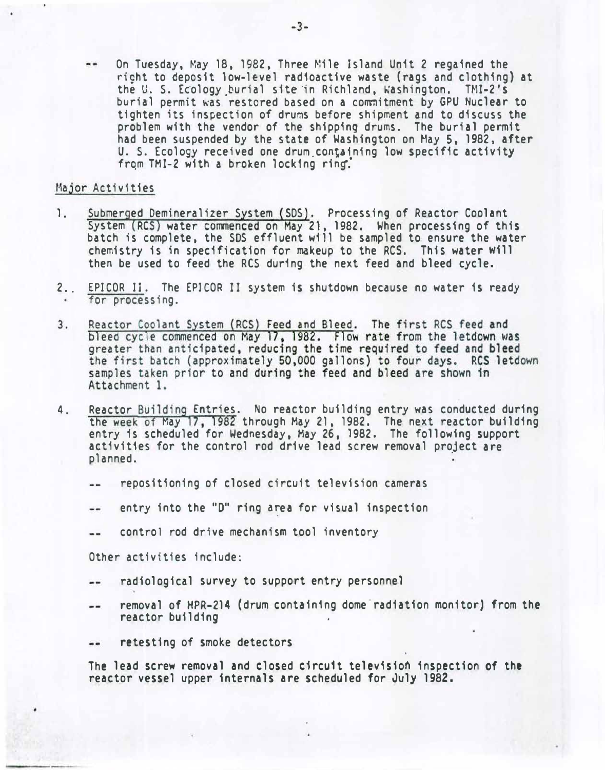On Tuesday, May 18, 1982, Three Mile Island Unit 2 regained the richt to deposit low-level radioactive waste (rags and clothing) at the U. S. Ecology burial site in Richland, Washington. TMI-2's burial permit was restored based on a commitment by GPU Nuclear to tighten its inspection of drums before shipment and to discuss the problem with the vendor of the shipping drums. The burial permit had been suspended by the state of Washington on May 5, 1982, after U. S. Ecology received one drum containing low specific activity from TMI-2 with a broken locking ring.

#### Major Activities

- 1. Submerged Demineralizer System (SDS). Processing of Reactor Coolant System (RCS) water commenced on May 21, 1982. When processing of this batch is complete, the SOS effluent will be sampled to ensure the water chemistry is in specification for makeup to the RCS. This water will then be used to feed the RCS during the next feed and bleed cycle.
- 2.. EPICOR II. The EPICOR II system is shutdown because no water is ready for processing.
- $3.$ Reactor Coolant System (RCS) Feed and Bleed. The first RCS feed and bleed cycle commenced on May 17, 1982. Flow rate from the letdown was greater than anticipated, reducing the time required to feed and bleed the first batch (approximately 50,000 gallons) to four days. RCS letdown samples taken prior to and during the feed and bleed are shown in Attachment 1.
- 4. Reactor Building Entries. No reactor building entry was conducted during the week of May 17, 1982 through May 21, 1982. The next reactor building entry is scheduled for Wednesday, May 26, 1982. The following support activities for the control rod drive lead screw removal project are planned.
	- repositioning of closed circuit television cameras  $- -$
	- entry into the "D" ring area for visual inspection  $\frac{1}{2}$
	- control rod drive mechanism tool inventory  $- -$

Other activities include:

- radiological survey to support entry personnel  $- -$
- removal of HPR-214 {drum containing dome radiation monitor) from the  $-$ reactor building
- retesting of smoke detectors  $\frac{1}{2}$

The lead screw removal and closed circuit television inspection of the reactor vessel upper internals are scheduled for July 1982.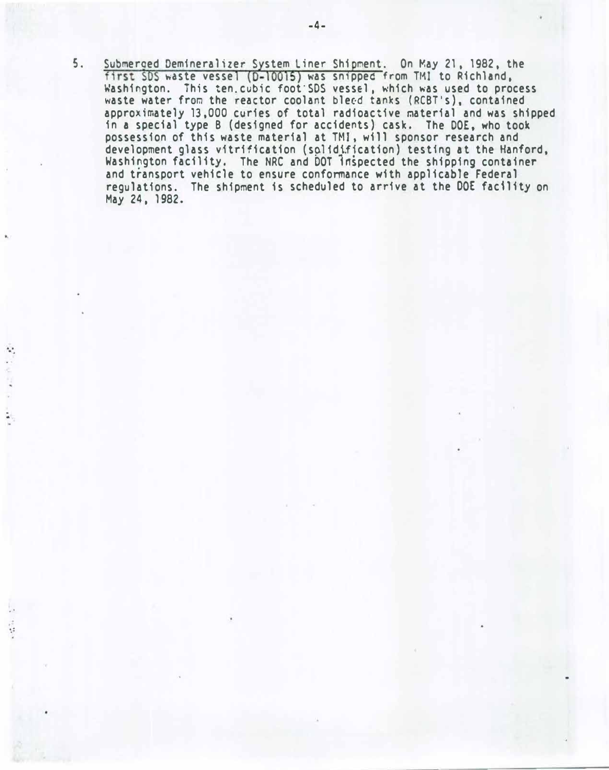5. Submerged Demineralizer System Liner Shipment. On May 21, 1982, the first SDS waste vessel (D-10015) was snipped from TMI to Richland, Washington. This ten. cubic foot SDS vessel, which was used to process waste water from the reactor coolant bleed tanks (RCBT's), contained approximately 13,000 curies of total radioactive material and was shipped in a special type B (designed for accidents) cask. The DOE, who took possession of this waste material at THI. will sponsor research and development glass vitrification (solidification) testing at the Hanford, Washington facility. The NRC and DOT inspected the shipping container and transport vehicle to ensure conformance with applicable Federal regulations. The shipment is scheduled to arrive at the DOE facility on May 24, 1982.

 $\mathcal{C}$ 

. .

 $\mathcal{L} = \mathcal{L} \mathcal{L}$ 

. . . . ..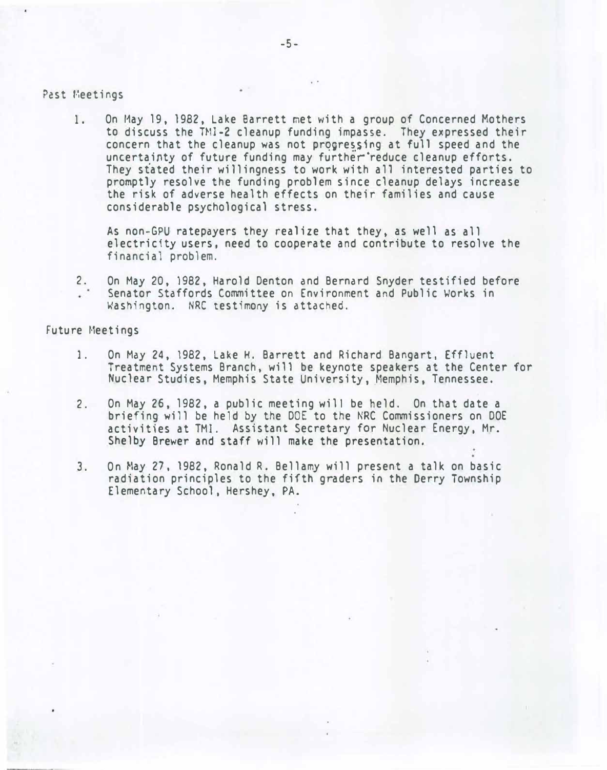#### Past Heetings

1. On May 19, 1982, Lake Barrett met with a group of Concerned Mothers to discuss the T�11-2 cleanup funding impasse. They expressed their concern that the cleanup was not progressing at full speed and the uncertainty of future funding may further reduce cleanup efforts. They stated their willingness to work with a11 interested parties to promptly resolve the funding problem since cleanup delays increase the risk of adverse health effects on their families and cause considerable psychological stress.

.

As non-GPU ratepayers they realize that they, as well as all electricity users, need to cooperate and contribute to resolve the financial problem.

2. On May 20, 1982, Harold Denton and Bernard Snyder testified before Senator Staffords Committee on Environment and Public Works in Washington. NRC testimony is attached.

#### Future Meetings

- 1. On May 24, 1982, Lake H. Barrett and Richard Bangart, Effluent Treatment Systems Branch, will be keynote speakers at the Center for Nuclear Studies, Memphis State University, Memphis, Tennessee.
- 2. On May 26, 1982, a public meeting will be held. On that date a briefing will be held by the DOE to the NRC Commissioners on DOE activities at TMI. Assistant Secretary for Nuclear Energy, Mr. Shelby Brewer and staff will make the presentation.
- 3. On May 27, 1982, Ronald R. Bellamy will present a talk on basic radiation principles to the fifth graders in the Derry Township Elementary School, Hershey, PA.